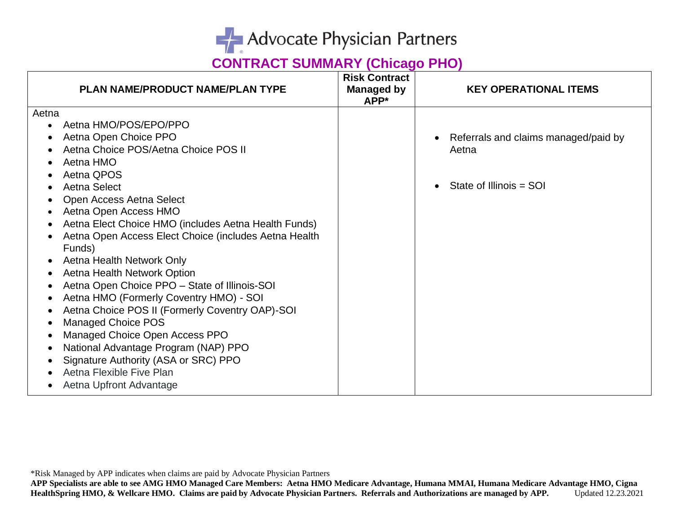

| <b>PLAN NAME/PRODUCT NAME/PLAN TYPE</b>               | <b>Risk Contract</b><br><b>Managed by</b><br>APP* | <b>KEY OPERATIONAL ITEMS</b>         |
|-------------------------------------------------------|---------------------------------------------------|--------------------------------------|
| Aetna                                                 |                                                   |                                      |
| Aetna HMO/POS/EPO/PPO                                 |                                                   |                                      |
| Aetna Open Choice PPO                                 |                                                   | Referrals and claims managed/paid by |
| Aetna Choice POS/Aetna Choice POS II                  |                                                   | Aetna                                |
| Aetna HMO                                             |                                                   |                                      |
| Aetna QPOS                                            |                                                   |                                      |
| Aetna Select                                          |                                                   | State of Illinois = SOI              |
| Open Access Aetna Select                              |                                                   |                                      |
| Aetna Open Access HMO                                 |                                                   |                                      |
| Aetna Elect Choice HMO (includes Aetna Health Funds)  |                                                   |                                      |
| Aetna Open Access Elect Choice (includes Aetna Health |                                                   |                                      |
| Funds)                                                |                                                   |                                      |
| Aetna Health Network Only                             |                                                   |                                      |
| Aetna Health Network Option                           |                                                   |                                      |
| Aetna Open Choice PPO - State of Illinois-SOI         |                                                   |                                      |
| Aetna HMO (Formerly Coventry HMO) - SOI               |                                                   |                                      |
| Aetna Choice POS II (Formerly Coventry OAP)-SOI       |                                                   |                                      |
| <b>Managed Choice POS</b>                             |                                                   |                                      |
| Managed Choice Open Access PPO                        |                                                   |                                      |
| National Advantage Program (NAP) PPO                  |                                                   |                                      |
| Signature Authority (ASA or SRC) PPO                  |                                                   |                                      |
| Aetna Flexible Five Plan                              |                                                   |                                      |
| Aetna Upfront Advantage                               |                                                   |                                      |

\*Risk Managed by APP indicates when claims are paid by Advocate Physician Partners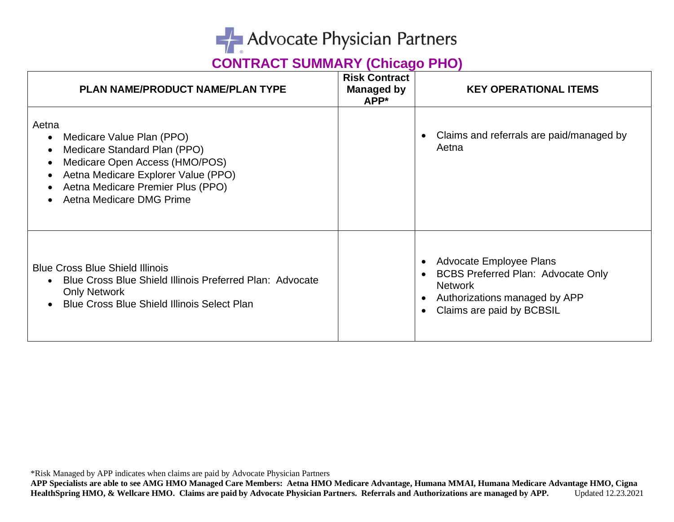

| PLAN NAME/PRODUCT NAME/PLAN TYPE                                                                                                                                                                             | <b>Risk Contract</b><br>Managed by<br>APP* | <b>KEY OPERATIONAL ITEMS</b>                                                                                                                                                                |
|--------------------------------------------------------------------------------------------------------------------------------------------------------------------------------------------------------------|--------------------------------------------|---------------------------------------------------------------------------------------------------------------------------------------------------------------------------------------------|
| Aetna<br>Medicare Value Plan (PPO)<br>Medicare Standard Plan (PPO)<br>Medicare Open Access (HMO/POS)<br>Aetna Medicare Explorer Value (PPO)<br>Aetna Medicare Premier Plus (PPO)<br>Aetna Medicare DMG Prime |                                            | Claims and referrals are paid/managed by<br>$\bullet$<br>Aetna                                                                                                                              |
| <b>Blue Cross Blue Shield Illinois</b><br>Blue Cross Blue Shield Illinois Preferred Plan: Advocate<br><b>Only Network</b><br><b>Blue Cross Blue Shield Illinois Select Plan</b>                              |                                            | Advocate Employee Plans<br>$\bullet$<br><b>BCBS Preferred Plan: Advocate Only</b><br><b>Network</b><br>Authorizations managed by APP<br>$\bullet$<br>Claims are paid by BCBSIL<br>$\bullet$ |

\*Risk Managed by APP indicates when claims are paid by Advocate Physician Partners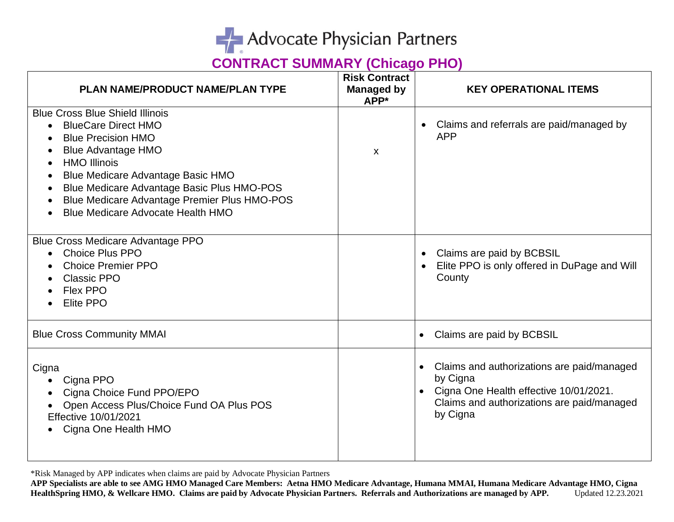

| <b>PLAN NAME/PRODUCT NAME/PLAN TYPE</b>                                                                                                                                                                                                                                                                                                     | <b>Risk Contract</b><br>Managed by<br>APP* | <b>KEY OPERATIONAL ITEMS</b>                                                                                                                               |
|---------------------------------------------------------------------------------------------------------------------------------------------------------------------------------------------------------------------------------------------------------------------------------------------------------------------------------------------|--------------------------------------------|------------------------------------------------------------------------------------------------------------------------------------------------------------|
| <b>Blue Cross Blue Shield Illinois</b><br><b>BlueCare Direct HMO</b><br><b>Blue Precision HMO</b><br><b>Blue Advantage HMO</b><br><b>HMO Illinois</b><br><b>Blue Medicare Advantage Basic HMO</b><br>Blue Medicare Advantage Basic Plus HMO-POS<br>Blue Medicare Advantage Premier Plus HMO-POS<br><b>Blue Medicare Advocate Health HMO</b> | $\mathsf{x}$                               | Claims and referrals are paid/managed by<br>$\bullet$<br><b>APP</b>                                                                                        |
| <b>Blue Cross Medicare Advantage PPO</b><br><b>Choice Plus PPO</b><br><b>Choice Premier PPO</b><br><b>Classic PPO</b><br>Flex PPO<br><b>Elite PPO</b>                                                                                                                                                                                       |                                            | Claims are paid by BCBSIL<br>$\bullet$<br>Elite PPO is only offered in DuPage and Will<br>County                                                           |
| <b>Blue Cross Community MMAI</b>                                                                                                                                                                                                                                                                                                            |                                            | Claims are paid by BCBSIL                                                                                                                                  |
| Cigna<br>Cigna PPO<br>Cigna Choice Fund PPO/EPO<br>Open Access Plus/Choice Fund OA Plus POS<br>Effective 10/01/2021<br>Cigna One Health HMO                                                                                                                                                                                                 |                                            | Claims and authorizations are paid/managed<br>by Cigna<br>Cigna One Health effective 10/01/2021.<br>Claims and authorizations are paid/managed<br>by Cigna |

\*Risk Managed by APP indicates when claims are paid by Advocate Physician Partners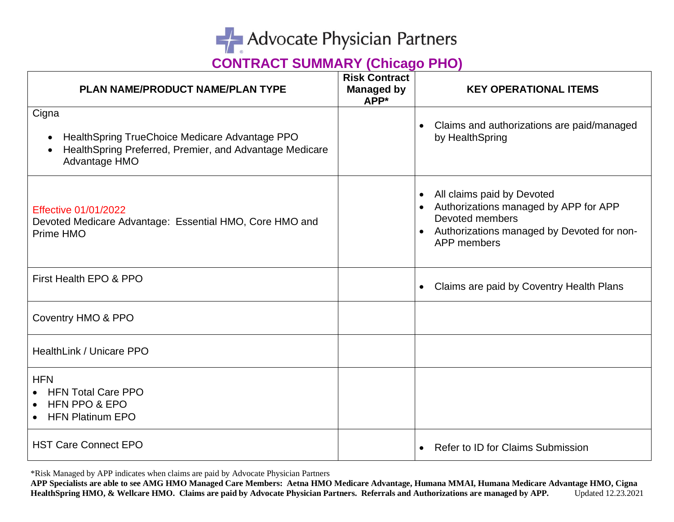

| PLAN NAME/PRODUCT NAME/PLAN TYPE                                                                                                                              | <b>Risk Contract</b><br><b>Managed by</b><br>APP* | <b>KEY OPERATIONAL ITEMS</b>                                                                                                                        |
|---------------------------------------------------------------------------------------------------------------------------------------------------------------|---------------------------------------------------|-----------------------------------------------------------------------------------------------------------------------------------------------------|
| Cigna<br>HealthSpring TrueChoice Medicare Advantage PPO<br>$\bullet$<br>HealthSpring Preferred, Premier, and Advantage Medicare<br>$\bullet$<br>Advantage HMO |                                                   | Claims and authorizations are paid/managed<br>by HealthSpring                                                                                       |
| <b>Effective 01/01/2022</b><br>Devoted Medicare Advantage: Essential HMO, Core HMO and<br>Prime HMO                                                           |                                                   | All claims paid by Devoted<br>Authorizations managed by APP for APP<br>Devoted members<br>Authorizations managed by Devoted for non-<br>APP members |
| First Health EPO & PPO                                                                                                                                        |                                                   | Claims are paid by Coventry Health Plans                                                                                                            |
| Coventry HMO & PPO                                                                                                                                            |                                                   |                                                                                                                                                     |
| HealthLink / Unicare PPO                                                                                                                                      |                                                   |                                                                                                                                                     |
| <b>HFN</b><br><b>HFN Total Care PPO</b><br>HFN PPO & EPO<br>$\bullet$<br><b>HFN Platinum EPO</b>                                                              |                                                   |                                                                                                                                                     |
| <b>HST Care Connect EPO</b>                                                                                                                                   |                                                   | Refer to ID for Claims Submission<br>$\bullet$                                                                                                      |

\*Risk Managed by APP indicates when claims are paid by Advocate Physician Partners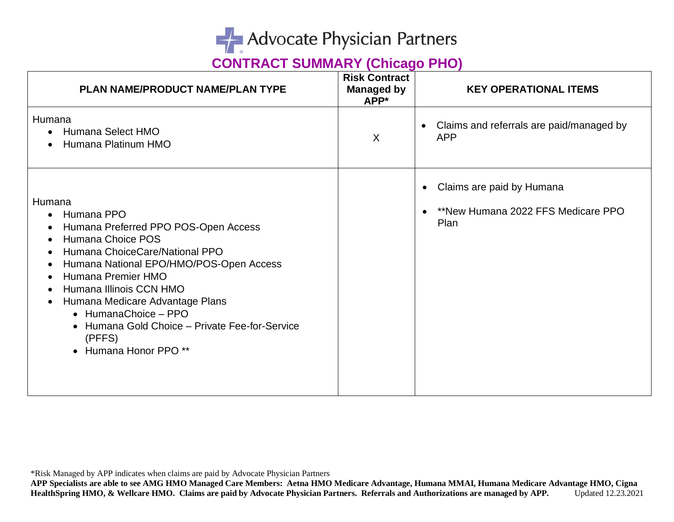

| PLAN NAME/PRODUCT NAME/PLAN TYPE                                                                                                                                                                                                                                                                                                                                                         | <b>Risk Contract</b><br><b>Managed by</b><br>APP* | <b>KEY OPERATIONAL ITEMS</b>                                                                      |
|------------------------------------------------------------------------------------------------------------------------------------------------------------------------------------------------------------------------------------------------------------------------------------------------------------------------------------------------------------------------------------------|---------------------------------------------------|---------------------------------------------------------------------------------------------------|
| Humana<br>• Humana Select HMO<br>Humana Platinum HMO                                                                                                                                                                                                                                                                                                                                     | $\chi$                                            | Claims and referrals are paid/managed by<br>$\bullet$<br><b>APP</b>                               |
| Humana<br>Humana PPO<br>$\bullet$<br>Humana Preferred PPO POS-Open Access<br>Humana Choice POS<br>$\bullet$<br>Humana ChoiceCare/National PPO<br>Humana National EPO/HMO/POS-Open Access<br>Humana Premier HMO<br>Humana Illinois CCN HMO<br>Humana Medicare Advantage Plans<br>• HumanaChoice - PPO<br>• Humana Gold Choice - Private Fee-for-Service<br>(PFFS)<br>• Humana Honor PPO** |                                                   | Claims are paid by Humana<br>$\bullet$<br>**New Humana 2022 FFS Medicare PPO<br>$\bullet$<br>Plan |

\*Risk Managed by APP indicates when claims are paid by Advocate Physician Partners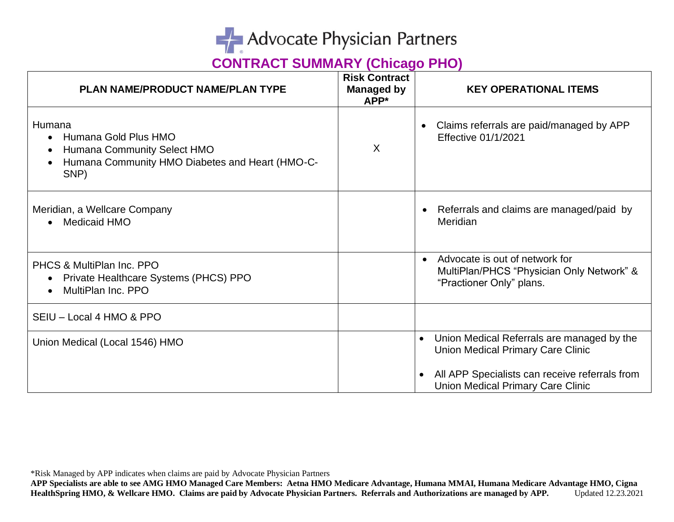

| <b>PLAN NAME/PRODUCT NAME/PLAN TYPE</b>                                                                                  | <b>Risk Contract</b><br><b>Managed by</b><br>APP* | <b>KEY OPERATIONAL ITEMS</b>                                                                                                                                                         |
|--------------------------------------------------------------------------------------------------------------------------|---------------------------------------------------|--------------------------------------------------------------------------------------------------------------------------------------------------------------------------------------|
| Humana<br>Humana Gold Plus HMO<br>Humana Community Select HMO<br>Humana Community HMO Diabetes and Heart (HMO-C-<br>SNP) | $\sf X$                                           | Claims referrals are paid/managed by APP<br>Effective 01/1/2021                                                                                                                      |
| Meridian, a Wellcare Company<br><b>Medicaid HMO</b>                                                                      |                                                   | Referrals and claims are managed/paid by<br>$\bullet$<br>Meridian                                                                                                                    |
| PHCS & MultiPlan Inc. PPO<br>Private Healthcare Systems (PHCS) PPO<br>MultiPlan Inc. PPO                                 |                                                   | Advocate is out of network for<br>$\bullet$<br>MultiPlan/PHCS "Physician Only Network" &<br>"Practioner Only" plans.                                                                 |
| SEIU - Local 4 HMO & PPO                                                                                                 |                                                   |                                                                                                                                                                                      |
| Union Medical (Local 1546) HMO                                                                                           |                                                   | Union Medical Referrals are managed by the<br><b>Union Medical Primary Care Clinic</b><br>All APP Specialists can receive referrals from<br><b>Union Medical Primary Care Clinic</b> |

\*Risk Managed by APP indicates when claims are paid by Advocate Physician Partners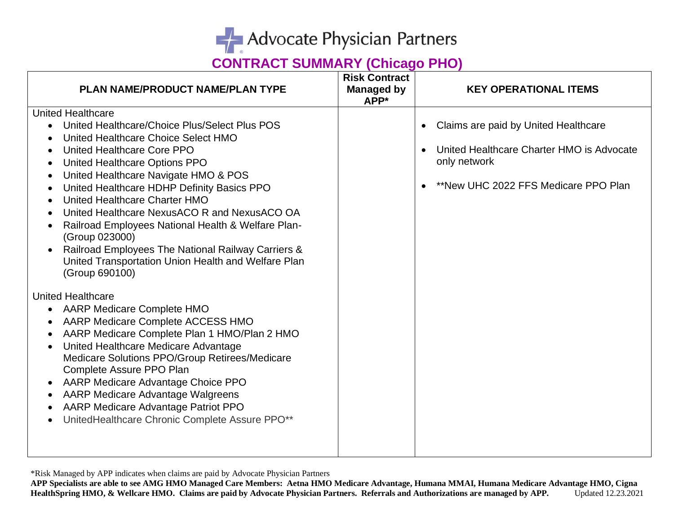

| PLAN NAME/PRODUCT NAME/PLAN TYPE                                                                                                                                                                                                                                                                                                                                                                                                                                                                                                                                                                                                                                                   | <b>Risk Contract</b><br>Managed by<br>APP* | <b>KEY OPERATIONAL ITEMS</b>                                                                                                                                        |
|------------------------------------------------------------------------------------------------------------------------------------------------------------------------------------------------------------------------------------------------------------------------------------------------------------------------------------------------------------------------------------------------------------------------------------------------------------------------------------------------------------------------------------------------------------------------------------------------------------------------------------------------------------------------------------|--------------------------------------------|---------------------------------------------------------------------------------------------------------------------------------------------------------------------|
| <b>United Healthcare</b><br>United Healthcare/Choice Plus/Select Plus POS<br>$\bullet$<br>United Healthcare Choice Select HMO<br>United Healthcare Core PPO<br>United Healthcare Options PPO<br>United Healthcare Navigate HMO & POS<br>United Healthcare HDHP Definity Basics PPO<br>$\bullet$<br>United Healthcare Charter HMO<br>United Healthcare NexusACO R and NexusACO OA<br>Railroad Employees National Health & Welfare Plan-<br>(Group 023000)<br>Railroad Employees The National Railway Carriers &<br>$\bullet$<br>United Transportation Union Health and Welfare Plan<br>(Group 690100)<br><b>United Healthcare</b><br><b>AARP Medicare Complete HMO</b><br>$\bullet$ |                                            | Claims are paid by United Healthcare<br>$\bullet$<br>United Healthcare Charter HMO is Advocate<br>$\bullet$<br>only network<br>**New UHC 2022 FFS Medicare PPO Plan |
| AARP Medicare Complete ACCESS HMO<br>AARP Medicare Complete Plan 1 HMO/Plan 2 HMO<br>٠<br>United Healthcare Medicare Advantage<br>$\bullet$<br>Medicare Solutions PPO/Group Retirees/Medicare<br>Complete Assure PPO Plan<br>AARP Medicare Advantage Choice PPO<br>$\bullet$<br>AARP Medicare Advantage Walgreens<br>AARP Medicare Advantage Patriot PPO<br>$\bullet$<br>UnitedHealthcare Chronic Complete Assure PPO**<br>$\bullet$                                                                                                                                                                                                                                               |                                            |                                                                                                                                                                     |

\*Risk Managed by APP indicates when claims are paid by Advocate Physician Partners